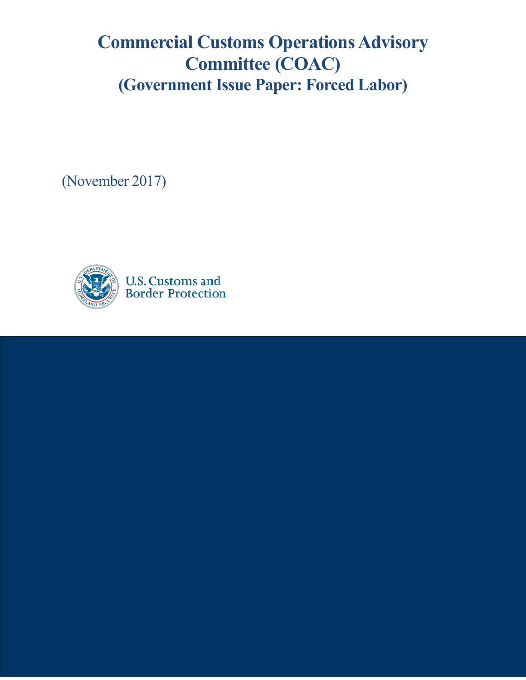# **Commercial Customs Operations Advisory Committee (COAC) (Government Issue Paper: Forced Labor)**

(November 2017)

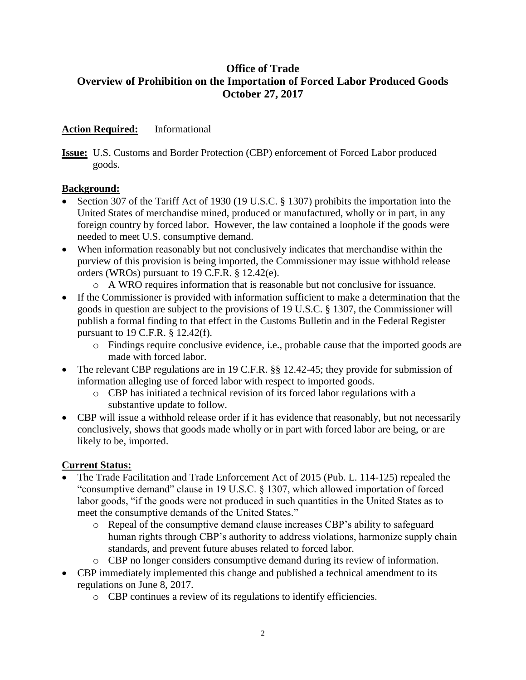## **Office of Trade Overview of Prohibition on the Importation of Forced Labor Produced Goods October 27, 2017**

### **Action Required:** Informational

**Issue:** U.S. Customs and Border Protection (CBP) enforcement of Forced Labor produced goods.

#### **Background:**

- Section 307 of the Tariff Act of 1930 (19 U.S.C. § 1307) prohibits the importation into the United States of merchandise mined, produced or manufactured, wholly or in part, in any foreign country by forced labor. However, the law contained a loophole if the goods were needed to meet U.S. consumptive demand.
- When information reasonably but not conclusively indicates that merchandise within the purview of this provision is being imported, the Commissioner may issue withhold release orders (WROs) pursuant to 19 C.F.R. § 12.42(e).
	- o A WRO requires information that is reasonable but not conclusive for issuance.
- If the Commissioner is provided with information sufficient to make a determination that the goods in question are subject to the provisions of 19 U.S.C. § 1307, the Commissioner will publish a formal finding to that effect in the Customs Bulletin and in the Federal Register pursuant to 19 C.F.R. § 12.42(f).
	- o Findings require conclusive evidence, i.e., probable cause that the imported goods are made with forced labor.
- The relevant CBP regulations are in 19 C.F.R. §§ 12.42-45; they provide for submission of information alleging use of forced labor with respect to imported goods.
	- o CBP has initiated a technical revision of its forced labor regulations with a substantive update to follow.
- CBP will issue a withhold release order if it has evidence that reasonably, but not necessarily conclusively, shows that goods made wholly or in part with forced labor are being, or are likely to be, imported.

#### **Current Status:**

- The Trade Facilitation and Trade Enforcement Act of 2015 (Pub. L. 114-125) repealed the "consumptive demand" clause in 19 U.S.C. § 1307, which allowed importation of forced labor goods, "if the goods were not produced in such quantities in the United States as to meet the consumptive demands of the United States."
	- o Repeal of the consumptive demand clause increases CBP's ability to safeguard human rights through CBP's authority to address violations, harmonize supply chain standards, and prevent future abuses related to forced labor.
	- o CBP no longer considers consumptive demand during its review of information.
- CBP immediately implemented this change and published a technical amendment to its regulations on June 8, 2017.
	- o CBP continues a review of its regulations to identify efficiencies.